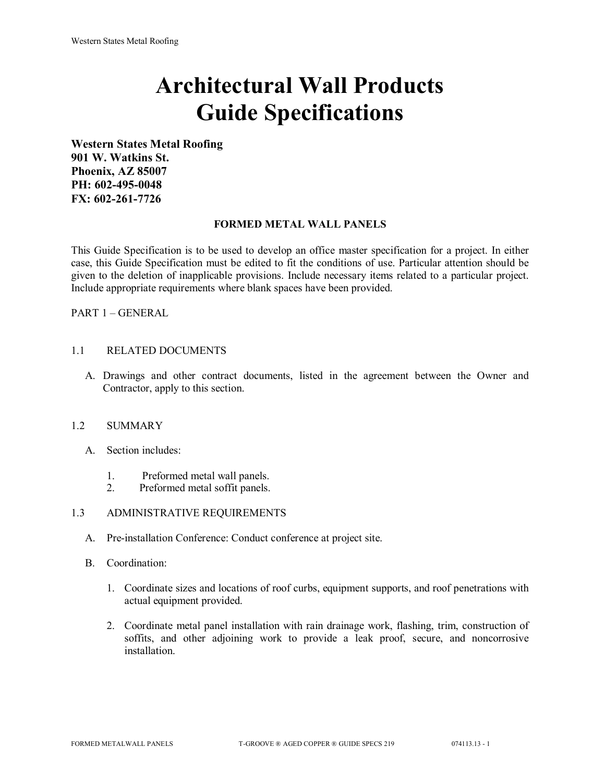# **Architectural Wall Products Guide Specifications**

**Western States Metal Roofing 901 W. Watkins St. Phoenix, AZ 85007 PH: 602-495-0048 FX: 602-261-7726**

#### **FORMED METAL WALL PANELS**

This Guide Specification is to be used to develop an office master specification for a project. In either case, this Guide Specification must be edited to fit the conditions of use. Particular attention should be given to the deletion of inapplicable provisions. Include necessary items related to a particular project. Include appropriate requirements where blank spaces have been provided.

PART 1 – GENERAL

## 1.1 RELATED DOCUMENTS

A. Drawings and other contract documents, listed in the agreement between the Owner and Contractor, apply to this section.

#### 1.2 SUMMARY

- A. Section includes:
	- 1. Preformed metal wall panels.
	- 2. Preformed metal soffit panels.

## 1.3 ADMINISTRATIVE REQUIREMENTS

- A. Pre-installation Conference: Conduct conference at project site.
- B. Coordination:
	- 1. Coordinate sizes and locations of roof curbs, equipment supports, and roof penetrations with actual equipment provided.
	- 2. Coordinate metal panel installation with rain drainage work, flashing, trim, construction of soffits, and other adjoining work to provide a leak proof, secure, and noncorrosive installation.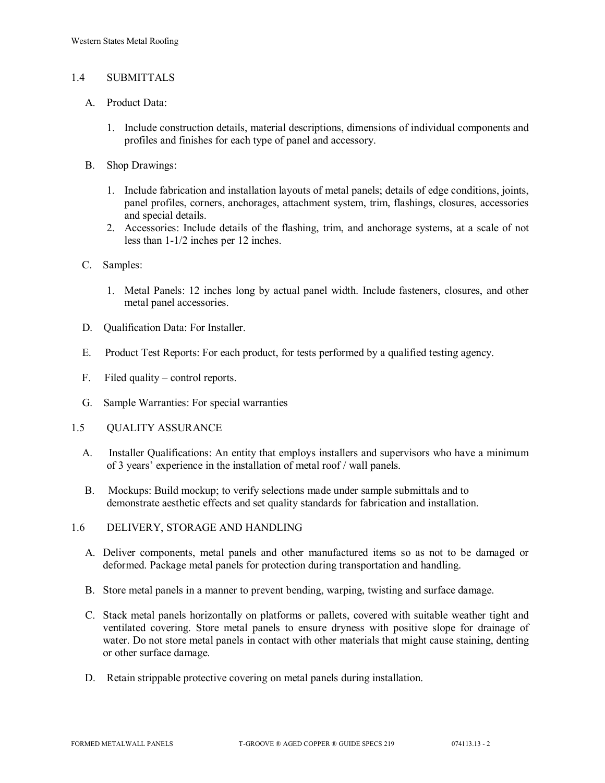### 1.4 SUBMITTALS

- A. Product Data:
	- 1. Include construction details, material descriptions, dimensions of individual components and profiles and finishes for each type of panel and accessory.
- B. Shop Drawings:
	- 1. Include fabrication and installation layouts of metal panels; details of edge conditions, joints, panel profiles, corners, anchorages, attachment system, trim, flashings, closures, accessories and special details.
	- 2. Accessories: Include details of the flashing, trim, and anchorage systems, at a scale of not less than 1-1/2 inches per 12 inches.
- C. Samples:
	- 1. Metal Panels: 12 inches long by actual panel width. Include fasteners, closures, and other metal panel accessories.
- D. Qualification Data: For Installer.
- E. Product Test Reports: For each product, for tests performed by a qualified testing agency.
- F. Filed quality control reports.
- G. Sample Warranties: For special warranties
- 1.5 QUALITY ASSURANCE
	- A. Installer Qualifications: An entity that employs installers and supervisors who have a minimum of 3 years' experience in the installation of metal roof / wall panels.
	- B. Mockups: Build mockup; to verify selections made under sample submittals and to demonstrate aesthetic effects and set quality standards for fabrication and installation.
- 1.6 DELIVERY, STORAGE AND HANDLING
	- A. Deliver components, metal panels and other manufactured items so as not to be damaged or deformed. Package metal panels for protection during transportation and handling.
	- B. Store metal panels in a manner to prevent bending, warping, twisting and surface damage.
	- C. Stack metal panels horizontally on platforms or pallets, covered with suitable weather tight and ventilated covering. Store metal panels to ensure dryness with positive slope for drainage of water. Do not store metal panels in contact with other materials that might cause staining, denting or other surface damage.
	- D. Retain strippable protective covering on metal panels during installation.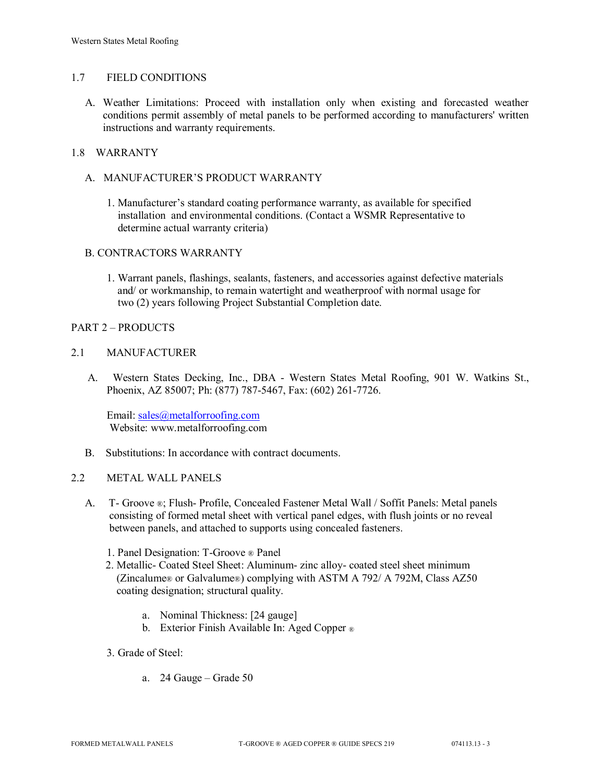#### 1.7 FIELD CONDITIONS

A. Weather Limitations: Proceed with installation only when existing and forecasted weather conditions permit assembly of metal panels to be performed according to manufacturers' written instructions and warranty requirements.

# 1.8 WARRANTY

- A. MANUFACTURER'S PRODUCT WARRANTY
	- 1. Manufacturer's standard coating performance warranty, as available for specified installation and environmental conditions. (Contact a WSMR Representative to determine actual warranty criteria)

#### B. CONTRACTORS WARRANTY

1. Warrant panels, flashings, sealants, fasteners, and accessories against defective materials and/ or workmanship, to remain watertight and weatherproof with normal usage for two (2) years following Project Substantial Completion date.

#### PART 2 – PRODUCTS

#### 2.1 MANUFACTURER

 A. Western States Decking, Inc., DBA - Western States Metal Roofing, 901 W. Watkins St., Phoenix, AZ 85007; Ph: (877) 787-5467, Fax: (602) 261-7726.

Email: [sales@metalforroofing.com](mailto:sales@metalforroofing.com) Website: www.metalforroofing.com

B. Substitutions: In accordance with contract documents.

#### 2.2 METAL WALL PANELS

- A. T- Groove ®; Flush- Profile, Concealed Fastener Metal Wall / Soffit Panels: Metal panels consisting of formed metal sheet with vertical panel edges, with flush joints or no reveal between panels, and attached to supports using concealed fasteners.
	- 1. Panel Designation: T-Groove ® Panel
	- 2. Metallic- Coated Steel Sheet: Aluminum- zinc alloy- coated steel sheet minimum (Zincalume® or Galvalume®) complying with ASTM A 792/ A 792M, Class AZ50 coating designation; structural quality.
		- a. Nominal Thickness: [24 gauge]
		- b. Exterior Finish Available In: Aged Copper ®
	- 3. Grade of Steel:
		- a. 24 Gauge Grade 50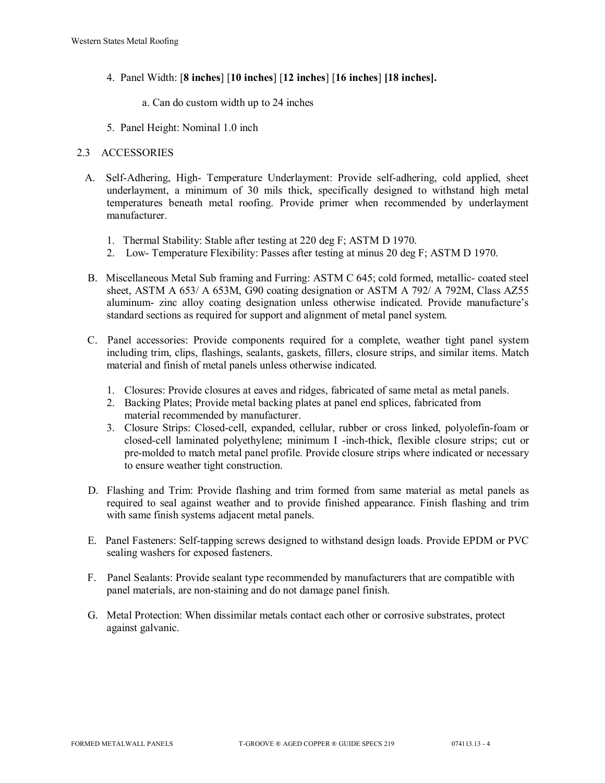- 4. Panel Width: [**8 inches**] [**10 inches**] [**12 inches**] [**16 inches**] **[18 inches].**
	- a. Can do custom width up to 24 inches
- 5. Panel Height: Nominal 1.0 inch

## 2.3 ACCESSORIES

- A. Self-Adhering, High- Temperature Underlayment: Provide self-adhering, cold applied, sheet underlayment, a minimum of 30 mils thick, specifically designed to withstand high metal temperatures beneath metal roofing. Provide primer when recommended by underlayment manufacturer.
	- 1. Thermal Stability: Stable after testing at 220 deg F; ASTM D 1970.
	- 2. Low- Temperature Flexibility: Passes after testing at minus 20 deg F; ASTM D 1970.
- B. Miscellaneous Metal Sub framing and Furring: ASTM C 645; cold formed, metallic- coated steel sheet, ASTM A 653/ A 653M, G90 coating designation or ASTM A 792/ A 792M, Class AZ55 aluminum- zinc alloy coating designation unless otherwise indicated. Provide manufacture's standard sections as required for support and alignment of metal panel system.
- C. Panel accessories: Provide components required for a complete, weather tight panel system including trim, clips, flashings, sealants, gaskets, fillers, closure strips, and similar items. Match material and finish of metal panels unless otherwise indicated.
	- 1. Closures: Provide closures at eaves and ridges, fabricated of same metal as metal panels.
	- 2. Backing Plates; Provide metal backing plates at panel end splices, fabricated from material recommended by manufacturer.
	- 3. Closure Strips: Closed-cell, expanded, cellular, rubber or cross linked, polyolefin-foam or closed-cell laminated polyethylene; minimum I -inch-thick, flexible closure strips; cut or pre-molded to match metal panel profile. Provide closure strips where indicated or necessary to ensure weather tight construction.
- D. Flashing and Trim: Provide flashing and trim formed from same material as metal panels as required to seal against weather and to provide finished appearance. Finish flashing and trim with same finish systems adjacent metal panels.
- E. Panel Fasteners: Self-tapping screws designed to withstand design loads. Provide EPDM or PVC sealing washers for exposed fasteners.
- F. Panel Sealants: Provide sealant type recommended by manufacturers that are compatible with panel materials, are non-staining and do not damage panel finish.
- G. Metal Protection: When dissimilar metals contact each other or corrosive substrates, protect against galvanic.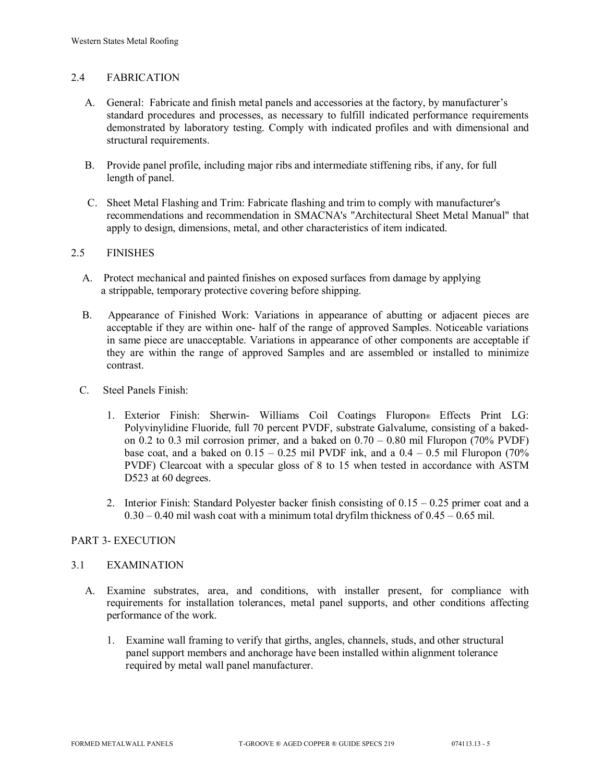### 2.4 FABRICATION

- A. General: Fabricate and finish metal panels and accessories at the factory, by manufacturer's standard procedures and processes, as necessary to fulfill indicated performance requirements demonstrated by laboratory testing. Comply with indicated profiles and with dimensional and structural requirements.
- B. Provide panel profile, including major ribs and intermediate stiffening ribs, if any, for full length of panel.
- C. Sheet Metal Flashing and Trim: Fabricate flashing and trim to comply with manufacturer's recommendations and recommendation in SMACNA's "Architectural Sheet Metal Manual" that apply to design, dimensions, metal, and other characteristics of item indicated.

#### 2.5 FINISHES

- A. Protect mechanical and painted finishes on exposed surfaces from damage by applying a strippable, temporary protective covering before shipping.
- B. Appearance of Finished Work: Variations in appearance of abutting or adjacent pieces are acceptable if they are within one- half of the range of approved Samples. Noticeable variations in same piece are unacceptable. Variations in appearance of other components are acceptable if they are within the range of approved Samples and are assembled or installed to minimize contrast.
- C. Steel Panels Finish:
	- 1. Exterior Finish: Sherwin- Williams Coil Coatings Fluropon® Effects Print LG: Polyvinylidine Fluoride, full 70 percent PVDF, substrate Galvalume, consisting of a bakedon 0.2 to 0.3 mil corrosion primer, and a baked on  $0.70 - 0.80$  mil Fluropon (70% PVDF) base coat, and a baked on  $0.15 - 0.25$  mil PVDF ink, and a  $0.4 - 0.5$  mil Fluropon (70%) PVDF) Clearcoat with a specular gloss of 8 to 15 when tested in accordance with ASTM D523 at 60 degrees.
	- 2. Interior Finish: Standard Polyester backer finish consisting of  $0.15 0.25$  primer coat and a  $0.30 - 0.40$  mil wash coat with a minimum total dryfilm thickness of  $0.45 - 0.65$  mil.

## PART 3- EXECUTION

#### 3.1 EXAMINATION

- A. Examine substrates, area, and conditions, with installer present, for compliance with requirements for installation tolerances, metal panel supports, and other conditions affecting performance of the work.
	- 1. Examine wall framing to verify that girths, angles, channels, studs, and other structural panel support members and anchorage have been installed within alignment tolerance required by metal wall panel manufacturer.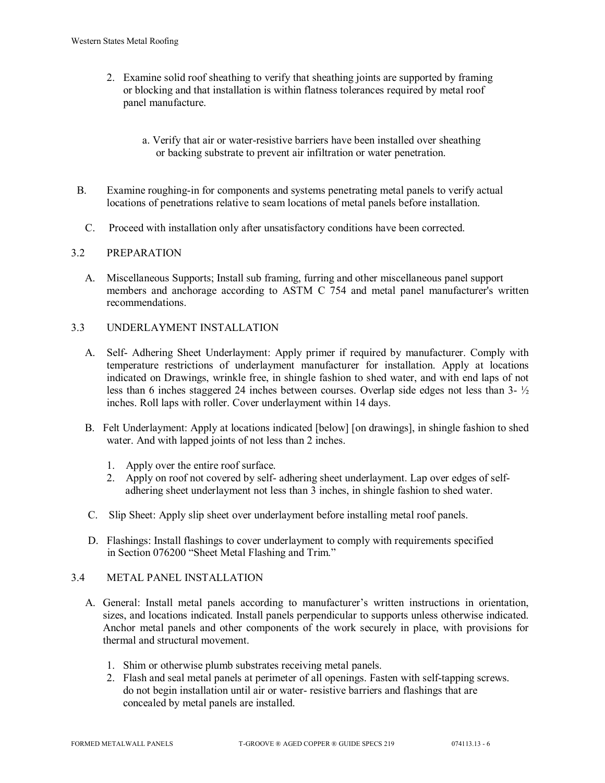- 2. Examine solid roof sheathing to verify that sheathing joints are supported by framing or blocking and that installation is within flatness tolerances required by metal roof panel manufacture.
	- a. Verify that air or water-resistive barriers have been installed over sheathing or backing substrate to prevent air infiltration or water penetration.
- B. Examine roughing-in for components and systems penetrating metal panels to verify actual locations of penetrations relative to seam locations of metal panels before installation.
	- C. Proceed with installation only after unsatisfactory conditions have been corrected.

# 3.2 PREPARATION

 A. Miscellaneous Supports; Install sub framing, furring and other miscellaneous panel support members and anchorage according to ASTM C 754 and metal panel manufacturer's written recommendations.

## 3.3 UNDERLAYMENT INSTALLATION

- A. Self- Adhering Sheet Underlayment: Apply primer if required by manufacturer. Comply with temperature restrictions of underlayment manufacturer for installation. Apply at locations indicated on Drawings, wrinkle free, in shingle fashion to shed water, and with end laps of not less than 6 inches staggered 24 inches between courses. Overlap side edges not less than 3- ½ inches. Roll laps with roller. Cover underlayment within 14 days.
- B. Felt Underlayment: Apply at locations indicated [below] [on drawings], in shingle fashion to shed water. And with lapped joints of not less than 2 inches.
	- 1. Apply over the entire roof surface.
	- 2. Apply on roof not covered by self- adhering sheet underlayment. Lap over edges of self adhering sheet underlayment not less than 3 inches, in shingle fashion to shed water.
- C. Slip Sheet: Apply slip sheet over underlayment before installing metal roof panels.
- D. Flashings: Install flashings to cover underlayment to comply with requirements specified in Section 076200 "Sheet Metal Flashing and Trim."

## 3.4 METAL PANEL INSTALLATION

- A. General: Install metal panels according to manufacturer's written instructions in orientation, sizes, and locations indicated. Install panels perpendicular to supports unless otherwise indicated. Anchor metal panels and other components of the work securely in place, with provisions for thermal and structural movement.
	- 1. Shim or otherwise plumb substrates receiving metal panels.
	- 2. Flash and seal metal panels at perimeter of all openings. Fasten with self-tapping screws. do not begin installation until air or water- resistive barriers and flashings that are concealed by metal panels are installed.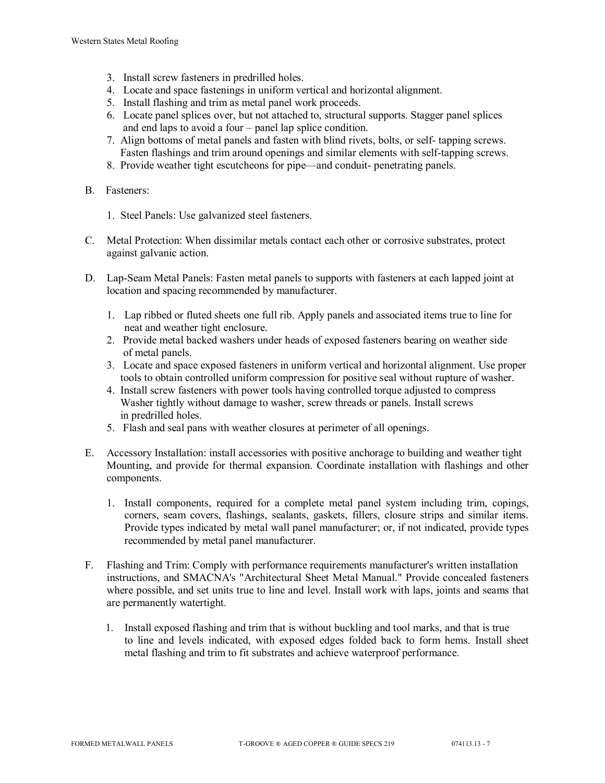- 3. Install screw fasteners in predrilled holes.
- 4. Locate and space fastenings in uniform vertical and horizontal alignment.
- 5. Install flashing and trim as metal panel work proceeds.
- 6. Locate panel splices over, but not attached to, structural supports. Stagger panel splices and end laps to avoid a four – panel lap splice condition.
- 7. Align bottoms of metal panels and fasten with blind rivets, bolts, or self- tapping screws. Fasten flashings and trim around openings and similar elements with self-tapping screws.
- 8. Provide weather tight escutcheons for pipe—and conduit- penetrating panels.
- B. Fasteners:
	- 1. Steel Panels: Use galvanized steel fasteners.
- C. Metal Protection: When dissimilar metals contact each other or corrosive substrates, protect against galvanic action.
- D. Lap-Seam Metal Panels: Fasten metal panels to supports with fasteners at each lapped joint at location and spacing recommended by manufacturer.
	- 1. Lap ribbed or fluted sheets one full rib. Apply panels and associated items true to line for neat and weather tight enclosure.
	- 2. Provide metal backed washers under heads of exposed fasteners bearing on weather side of metal panels.
	- 3. Locate and space exposed fasteners in uniform vertical and horizontal alignment. Use proper tools to obtain controlled uniform compression for positive seal without rupture of washer.
	- 4. Install screw fasteners with power tools having controlled torque adjusted to compress Washer tightly without damage to washer, screw threads or panels. Install screws in predrilled holes.
	- 5. Flash and seal pans with weather closures at perimeter of all openings.
- E. Accessory Installation: install accessories with positive anchorage to building and weather tight Mounting, and provide for thermal expansion. Coordinate installation with flashings and other components.
	- 1. Install components, required for a complete metal panel system including trim, copings, corners, seam covers, flashings, sealants, gaskets, fillers, closure strips and similar items. Provide types indicated by metal wall panel manufacturer; or, if not indicated, provide types recommended by metal panel manufacturer.
- F. Flashing and Trim: Comply with performance requirements manufacturer's written installation instructions, and SMACNA's "Architectural Sheet Metal Manual." Provide concealed fasteners where possible, and set units true to line and level. Install work with laps, joints and seams that are permanently watertight.
	- 1. Install exposed flashing and trim that is without buckling and tool marks, and that is true to line and levels indicated, with exposed edges folded back to form hems. Install sheet metal flashing and trim to fit substrates and achieve waterproof performance.